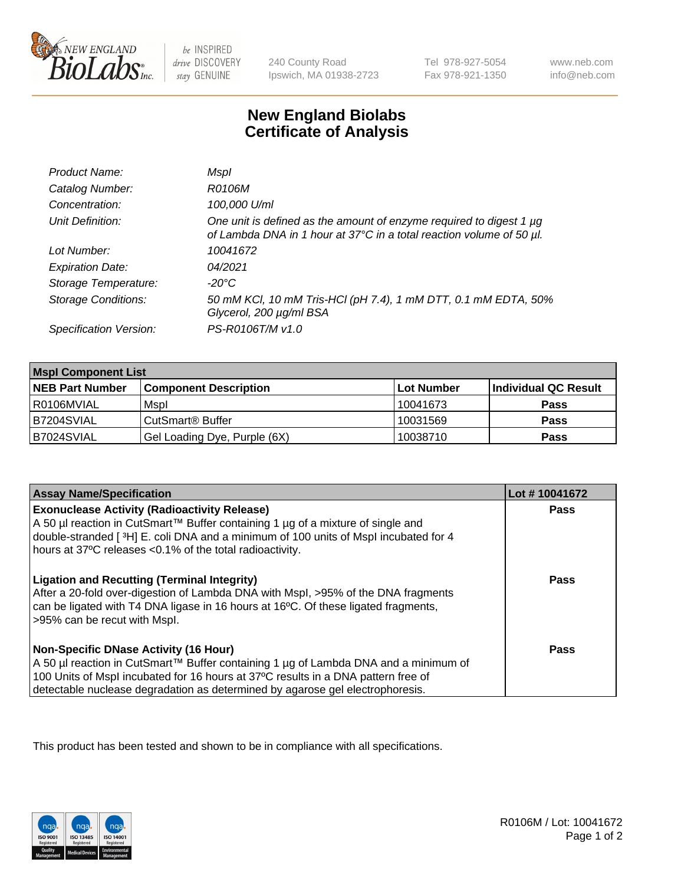

 $be$  INSPIRED drive DISCOVERY stay GENUINE

240 County Road Ipswich, MA 01938-2723 Tel 978-927-5054 Fax 978-921-1350

www.neb.com info@neb.com

## **New England Biolabs Certificate of Analysis**

| Product Name:              | Mspl                                                                                                                                             |
|----------------------------|--------------------------------------------------------------------------------------------------------------------------------------------------|
| Catalog Number:            | R0106M                                                                                                                                           |
| Concentration:             | 100,000 U/ml                                                                                                                                     |
| Unit Definition:           | One unit is defined as the amount of enzyme required to digest 1 $\mu$ g<br>of Lambda DNA in 1 hour at 37°C in a total reaction volume of 50 µl. |
| Lot Number:                | 10041672                                                                                                                                         |
| <b>Expiration Date:</b>    | 04/2021                                                                                                                                          |
| Storage Temperature:       | -20°C                                                                                                                                            |
| <b>Storage Conditions:</b> | 50 mM KCl, 10 mM Tris-HCl (pH 7.4), 1 mM DTT, 0.1 mM EDTA, 50%<br>Glycerol, 200 µg/ml BSA                                                        |
| Specification Version:     | PS-R0106T/M v1.0                                                                                                                                 |

| <b>Mspl Component List</b> |                              |            |                      |  |
|----------------------------|------------------------------|------------|----------------------|--|
| <b>NEB Part Number</b>     | <b>Component Description</b> | Lot Number | Individual QC Result |  |
| R0106MVIAL                 | Mspl                         | 10041673   | <b>Pass</b>          |  |
| B7204SVIAL                 | CutSmart <sup>®</sup> Buffer | 10031569   | <b>Pass</b>          |  |
| B7024SVIAL                 | Gel Loading Dye, Purple (6X) | 10038710   | <b>Pass</b>          |  |

| <b>Assay Name/Specification</b>                                                                                                                                                                                                                                                                           | Lot #10041672 |
|-----------------------------------------------------------------------------------------------------------------------------------------------------------------------------------------------------------------------------------------------------------------------------------------------------------|---------------|
| <b>Exonuclease Activity (Radioactivity Release)</b><br>A 50 µl reaction in CutSmart™ Buffer containing 1 µg of a mixture of single and<br>double-stranded [3H] E. coli DNA and a minimum of 100 units of Mspl incubated for 4<br>hours at 37°C releases <0.1% of the total radioactivity.                 | <b>Pass</b>   |
| <b>Ligation and Recutting (Terminal Integrity)</b><br>After a 20-fold over-digestion of Lambda DNA with Mspl, >95% of the DNA fragments<br>can be ligated with T4 DNA ligase in 16 hours at 16°C. Of these ligated fragments,<br>>95% can be recut with Mspl.                                             | Pass          |
| <b>Non-Specific DNase Activity (16 Hour)</b><br>A 50 µl reaction in CutSmart™ Buffer containing 1 µg of Lambda DNA and a minimum of<br>100 Units of Mspl incubated for 16 hours at 37°C results in a DNA pattern free of<br>detectable nuclease degradation as determined by agarose gel electrophoresis. | Pass          |

This product has been tested and shown to be in compliance with all specifications.